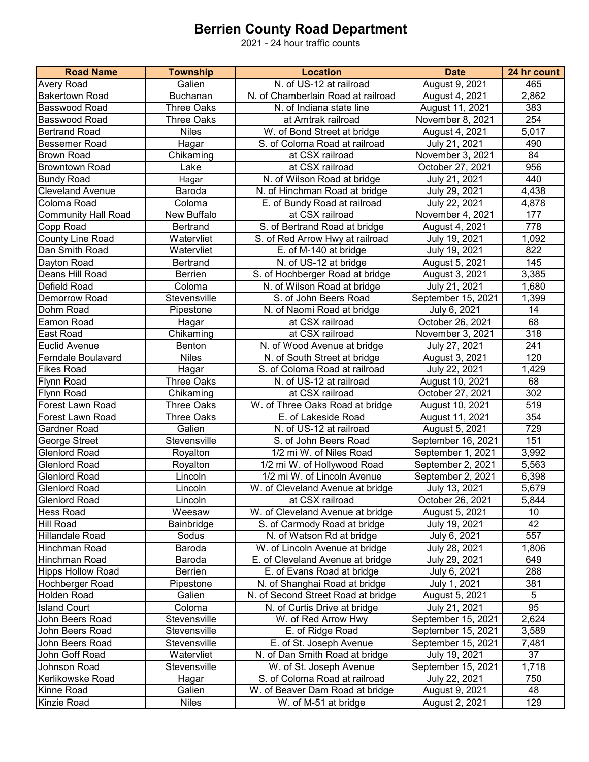## **Berrien County Road Department**

2021 - 24 hour traffic counts

| <b>Road Name</b>           | <b>Township</b>   | <b>Location</b>                    | <b>Date</b>        | 24 hr count      |
|----------------------------|-------------------|------------------------------------|--------------------|------------------|
| <b>Avery Road</b>          | Galien            | N. of US-12 at railroad            | August 9, 2021     | 465              |
| <b>Bakertown Road</b>      | Buchanan          | N. of Chamberlain Road at railroad | August 4, 2021     | 2,862            |
| Basswood Road              | <b>Three Oaks</b> | N. of Indiana state line           | August 11, 2021    | 383              |
| Basswood Road              | <b>Three Oaks</b> | at Amtrak railroad                 | November 8, 2021   | 254              |
| <b>Bertrand Road</b>       | <b>Niles</b>      | W. of Bond Street at bridge        | August 4, 2021     | 5,017            |
| <b>Bessemer Road</b>       | Hagar             | S. of Coloma Road at railroad      | July 21, 2021      | 490              |
| <b>Brown Road</b>          | Chikaming         | at CSX railroad                    | November 3, 2021   | 84               |
| <b>Browntown Road</b>      | Lake              | at CSX railroad                    | October 27, 2021   | 956              |
| <b>Bundy Road</b>          | Hagar             | N. of Wilson Road at bridge        | July 21, 2021      | 440              |
| <b>Cleveland Avenue</b>    | Baroda            | N. of Hinchman Road at bridge      | July 29, 2021      | 4,438            |
| Coloma Road                | Coloma            | E. of Bundy Road at railroad       | July 22, 2021      | 4,878            |
| <b>Community Hall Road</b> | New Buffalo       | at CSX railroad                    | November 4, 2021   | 177              |
| Copp Road                  | <b>Bertrand</b>   | S. of Bertrand Road at bridge      | August 4, 2021     | 778              |
| County Line Road           | Watervliet        | S. of Red Arrow Hwy at railroad    | July 19, 2021      | 1,092            |
| Dan Smith Road             | Watervliet        | E. of M-140 at bridge              | July 19, 2021      | 822              |
| Dayton Road                | Bertrand          | N. of US-12 at bridge              | August 5, 2021     | 145              |
| Deans Hill Road            | Berrien           | S. of Hochberger Road at bridge    | August 3, 2021     | 3,385            |
| Defield Road               | Coloma            | N. of Wilson Road at bridge        | July 21, 2021      | 1,680            |
| Demorrow Road              | Stevensville      | S. of John Beers Road              | September 15, 2021 | 1,399            |
| Dohm Road                  | Pipestone         | N. of Naomi Road at bridge         | July 6, 2021       | 14               |
| Eamon Road                 | Hagar             | at CSX railroad                    | October 26, 2021   | 68               |
| East Road                  | Chikaming         | at CSX railroad                    | November 3, 2021   | $\overline{318}$ |
| <b>Euclid Avenue</b>       | Benton            | N. of Wood Avenue at bridge        | July 27, 2021      | 241              |
| Ferndale Boulavard         | <b>Niles</b>      | N. of South Street at bridge       | August 3, 2021     | 120              |
| <b>Fikes Road</b>          | Hagar             | S. of Coloma Road at railroad      | July 22, 2021      | 1,429            |
| Flynn Road                 | <b>Three Oaks</b> | N. of US-12 at railroad            | August 10, 2021    | 68               |
| Flynn Road                 | Chikaming         | at CSX railroad                    | October 27, 2021   | 302              |
| Forest Lawn Road           | <b>Three Oaks</b> | W. of Three Oaks Road at bridge    | August 10, 2021    | 519              |
| Forest Lawn Road           | <b>Three Oaks</b> | E. of Lakeside Road                | August 11, 2021    | 354              |
| Gardner Road               | Galien            | N. of US-12 at railroad            | August 5, 2021     | 729              |
| George Street              | Stevensville      | S. of John Beers Road              | September 16, 2021 | 151              |
| <b>Glenlord Road</b>       | Royalton          | 1/2 mi W. of Niles Road            | September 1, 2021  | 3,992            |
| <b>Glenlord Road</b>       | Royalton          | 1/2 mi W. of Hollywood Road        | September 2, 2021  | 5,563            |
| <b>Glenlord Road</b>       | Lincoln           | 1/2 mi W. of Lincoln Avenue        | September 2, 2021  | 6,398            |
| <b>Glenlord Road</b>       | Lincoln           | W. of Cleveland Avenue at bridge   | July 13, 2021      | 5,679            |
| <b>Glenlord Road</b>       | Lincoln           | at CSX railroad                    | October 26, 2021   | 5,844            |
| <b>Hess Road</b>           | Weesaw            | W. of Cleveland Avenue at bridge   | August 5, 2021     | 10               |
| <b>Hill Road</b>           | Bainbridge        | S. of Carmody Road at bridge       | July 19, 2021      | 42               |
| <b>Hillandale Road</b>     | Sodus             | N. of Watson Rd at bridge          | July 6, 2021       | 557              |
| Hinchman Road              | Baroda            | W. of Lincoln Avenue at bridge     | July 28, 2021      | 1,806            |
| Hinchman Road              | Baroda            | E. of Cleveland Avenue at bridge   | July 29, 2021      | 649              |
| <b>Hipps Hollow Road</b>   | Berrien           | E. of Evans Road at bridge         | July 6, 2021       | 288              |
| Hochberger Road            | Pipestone         | N. of Shanghai Road at bridge      | July 1, 2021       | 381              |
| <b>Holden Road</b>         | Galien            | N. of Second Street Road at bridge | August 5, 2021     | 5                |
| <b>Island Court</b>        | Coloma            | N. of Curtis Drive at bridge       | July 21, 2021      | 95               |
| John Beers Road            | Stevensville      | W. of Red Arrow Hwy                | September 15, 2021 | 2,624            |
| John Beers Road            | Stevensville      | E. of Ridge Road                   | September 15, 2021 | 3,589            |
| John Beers Road            | Stevensville      | E. of St. Joseph Avenue            | September 15, 2021 | 7,481            |
| John Goff Road             | Watervliet        | N. of Dan Smith Road at bridge     | July 19, 2021      | 37               |
| Johnson Road               | Stevensville      | W. of St. Joseph Avenue            | September 15, 2021 | 1,718            |
| Kerlikowske Road           | Hagar             | S. of Coloma Road at railroad      | July 22, 2021      | 750              |
| Kinne Road                 | Galien            | W. of Beaver Dam Road at bridge    | August 9, 2021     | 48               |
| Kinzie Road                | <b>Niles</b>      | W. of M-51 at bridge               | August 2, 2021     | 129              |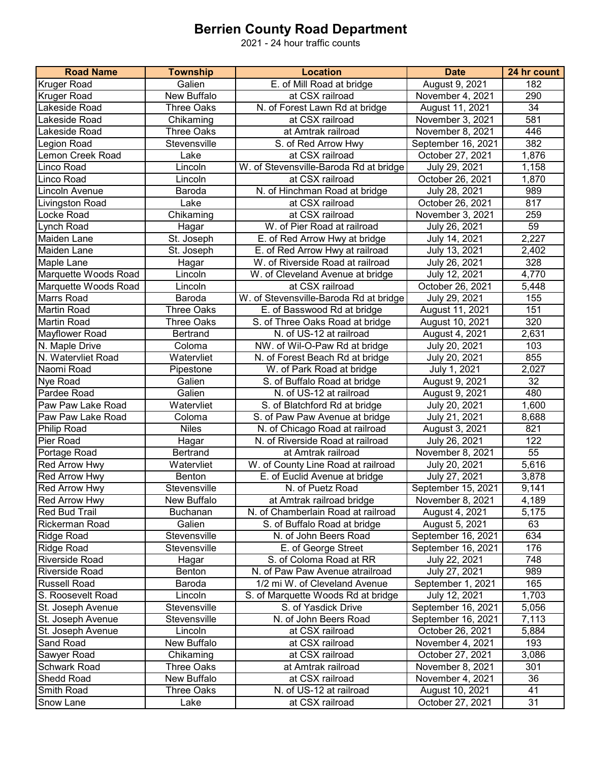## **Berrien County Road Department**

2021 - 24 hour traffic counts

| <b>Road Name</b>           | <b>Township</b>                  | <b>Location</b>                        | <b>Date</b>                         | 24 hr count |
|----------------------------|----------------------------------|----------------------------------------|-------------------------------------|-------------|
| <b>Kruger Road</b>         | Galien                           | E. of Mill Road at bridge              | August 9, 2021                      | 182         |
| <b>Kruger Road</b>         | New Buffalo                      | at CSX railroad                        | November 4, 2021                    | 290         |
| Lakeside Road              | <b>Three Oaks</b>                | N. of Forest Lawn Rd at bridge         | August 11, 2021                     | 34          |
| Lakeside Road              | Chikaming                        | at CSX railroad                        | November 3, 2021                    | 581         |
| Lakeside Road              | <b>Three Oaks</b>                | at Amtrak railroad                     | November 8, 2021                    | 446         |
| Legion Road                | Stevensville                     | S. of Red Arrow Hwy                    | September 16, 2021                  | 382         |
| Lemon Creek Road           | Lake                             | at CSX railroad                        | October 27, 2021                    | 1,876       |
| Linco Road                 | Lincoln                          | W. of Stevensville-Baroda Rd at bridge | July 29, 2021                       | 1,158       |
| Linco Road                 | Lincoln                          | at CSX railroad                        | October 26, 2021                    | 1,870       |
| <b>Lincoln Avenue</b>      | Baroda                           | N. of Hinchman Road at bridge          | July 28, 2021                       | 989         |
| Livingston Road            | Lake                             | at CSX railroad                        | October 26, 2021                    | 817         |
| Locke Road                 | Chikaming                        | at CSX railroad                        | November 3, 2021                    | 259         |
| Lynch Road                 | Hagar                            | W. of Pier Road at railroad            | July 26, 2021                       | 59          |
| Maiden Lane                | St. Joseph                       | E. of Red Arrow Hwy at bridge          | July 14, 2021                       | 2,227       |
| Maiden Lane                | St. Joseph                       | E. of Red Arrow Hwy at railroad        | July 13, 2021                       | 2,402       |
| Maple Lane                 | Hagar                            | W. of Riverside Road at railroad       | July 26, 2021                       | 328         |
| Marquette Woods Road       | Lincoln                          | W. of Cleveland Avenue at bridge       | July 12, 2021                       | 4,770       |
| Marquette Woods Road       | Lincoln                          | at CSX railroad                        | October 26, 2021                    | 5,448       |
| <b>Marrs Road</b>          | Baroda                           | W. of Stevensville-Baroda Rd at bridge | July 29, 2021                       | 155         |
| <b>Martin Road</b>         | <b>Three Oaks</b>                | E. of Basswood Rd at bridge            | August 11, 2021                     | 151         |
| <b>Martin Road</b>         | <b>Three Oaks</b>                | S. of Three Oaks Road at bridge        | August 10, 2021                     | 320         |
| Mayflower Road             | <b>Bertrand</b>                  | N. of US-12 at railroad                | August 4, 2021                      | 2,631       |
| N. Maple Drive             | Coloma                           | NW. of Wil-O-Paw Rd at bridge          | July 20, 2021                       | 103         |
| N. Watervliet Road         | Watervliet                       | N. of Forest Beach Rd at bridge        | July 20, 2021                       | 855         |
| Naomi Road                 | Pipestone                        | W. of Park Road at bridge              | July 1, 2021                        | 2,027       |
| Nye Road                   | Galien                           | S. of Buffalo Road at bridge           | August 9, 2021                      | 32          |
| Pardee Road                | Galien                           | N. of US-12 at railroad                | August 9, 2021                      | 480         |
| Paw Paw Lake Road          | Watervliet                       | S. of Blatchford Rd at bridge          | July 20, 2021                       | 1,600       |
| Paw Paw Lake Road          | Coloma                           | S. of Paw Paw Avenue at bridge         | July 21, 2021                       | 8,688       |
| Philip Road                | <b>Niles</b>                     | N. of Chicago Road at railroad         | August 3, 2021                      | 821         |
| Pier Road                  | Hagar                            | N. of Riverside Road at railroad       | July 26, 2021                       | 122         |
| Portage Road               | <b>Bertrand</b>                  | at Amtrak railroad                     | November 8, 2021                    | 55          |
| Red Arrow Hwy              | Watervliet                       | W. of County Line Road at railroad     | July 20, 2021                       | 5,616       |
| Red Arrow Hwy              | Benton                           | E. of Euclid Avenue at bridge          | July 27, 2021                       | 3,878       |
| <b>Red Arrow Hwy</b>       | Stevensville                     | N. of Puetz Road                       | September 15, 2021                  | 9,141       |
| Red Arrow Hwy              | New Buffalo                      | at Amtrak railroad bridge              | November 8, 2021                    | 4,189       |
| <b>Red Bud Trail</b>       | Buchanan                         | N. of Chamberlain Road at railroad     | August 4, 2021                      | 5,175       |
| <b>Rickerman Road</b>      | Galien                           | S. of Buffalo Road at bridge           | August 5, 2021                      | 63          |
| Ridge Road                 | Stevensville                     | N. of John Beers Road                  | September 16, 2021                  | 634         |
| <b>Ridge Road</b>          | Stevensville                     | E. of George Street                    | September 16, 2021                  | 176         |
| <b>Riverside Road</b>      | Hagar                            | S. of Coloma Road at RR                | July 22, 2021                       | 748         |
| Riverside Road             | Benton                           | N. of Paw Paw Avenue atrailroad        | July 27, 2021                       | 989         |
| <b>Russell Road</b>        | Baroda                           | 1/2 mi W. of Cleveland Avenue          | September 1, 2021                   | 165         |
| S. Roosevelt Road          | Lincoln                          | S. of Marquette Woods Rd at bridge     | July 12, 2021                       | 1,703       |
| St. Joseph Avenue          | Stevensville                     | S. of Yasdick Drive                    | September 16, 2021                  | 5,056       |
| St. Joseph Avenue          | Stevensville                     | N. of John Beers Road                  | September 16, 2021                  | 7,113       |
| St. Joseph Avenue          | Lincoln                          | at CSX railroad                        | October 26, 2021                    | 5,884       |
| Sand Road                  | New Buffalo                      | at CSX railroad                        | November 4, 2021                    | 193         |
| Sawyer Road                | Chikaming                        | at CSX railroad                        | October 27, 2021                    | 3,086       |
| Schwark Road<br>Shedd Road | <b>Three Oaks</b>                | at Amtrak railroad<br>at CSX railroad  | November 8, 2021                    | 301         |
| Smith Road                 | New Buffalo<br><b>Three Oaks</b> | N. of US-12 at railroad                | November 4, 2021                    | 36          |
|                            |                                  |                                        | August 10, 2021<br>October 27, 2021 | 41<br>31    |
| Snow Lane                  | Lake                             | at CSX railroad                        |                                     |             |